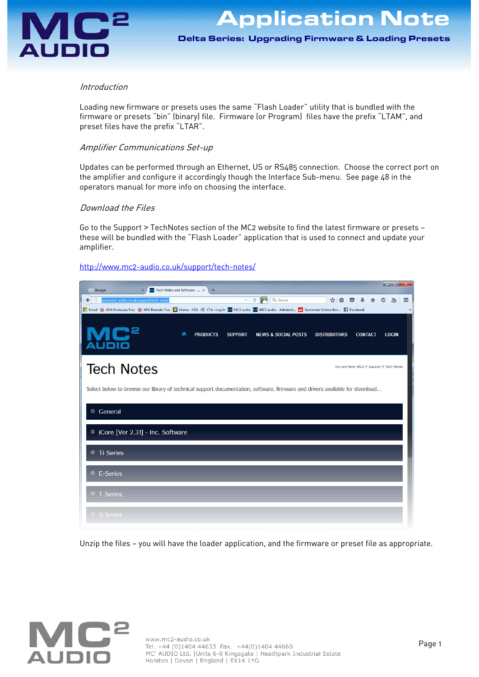

Delta Series: Upgrading Firmware & Loading Presets Delta Series: Upgrading Firmware & Loading Presets

### Introduction

Loading new firmware or presets uses the same "Flash Loader" utility that is bundled with the firmware or presets "bin" (binary) file. Firmware (or Program) files have the prefix "LTAM", and preset files have the prefix "LTAR".

### Amplifier Communications Set-up

Updates can be performed through an Ethernet, US or RS485 connection. Choose the correct port on the amplifier and configure it accordingly though the Interface Sub-menu. See page 48 in the operators manual for more info on choosing the interface.

# Download the Files

Go to the Support > TechNotes section of the MC2 website to find the latest firmware or presets these will be bundled with the "Flash Loader" application that is used to connect and update your amplifier.

#### http://www.mc2-audio.co.uk/support/tech-notes/

| المالد<br>$\mathbf{x}$<br><b>G</b> Google<br>M Tech Notes and Software -  X<br>$+$                                                                                                                                                                                                |
|-----------------------------------------------------------------------------------------------------------------------------------------------------------------------------------------------------------------------------------------------------------------------------------|
| Q Search<br>☆<br>←<br>A.<br>$\mathcal{C}^l$<br>Ξ<br>www.mc2-audio.co.uk/support/tech-notes,<br>自<br>ര<br>$\odot$                                                                                                                                                                  |
| Email 상 APA Firmware Trac 상 APA Remote Trac M Home - XTA ⓒ XTA › Log In W MC2 audio M MC2 audio - Administ A Santander Online Ban 1 Facebook<br>n<br><b>PRODUCTS</b><br><b>SUPPORT</b><br><b>NEWS &amp; SOCIAL POSTS</b><br><b>DISTRIBUTORS</b><br><b>CONTACT</b><br><b>LOGIN</b> |
| <b>Tech Notes</b><br>You are here: MC2 > Support > Tech Notes                                                                                                                                                                                                                     |
| Select below to browse our library of technical support documentation, software, firmware and drivers available for download                                                                                                                                                      |
| <sup>o</sup> General                                                                                                                                                                                                                                                              |
| C iCore [Ver 2.31] - Inc. Software                                                                                                                                                                                                                                                |
| <b>O</b> Ti Series                                                                                                                                                                                                                                                                |
| <sup>o</sup> E-Series                                                                                                                                                                                                                                                             |
| • T Series                                                                                                                                                                                                                                                                        |
| <sup>o</sup> S-Series                                                                                                                                                                                                                                                             |

Unzip the files — you will have the loader application, and the firmware or preset file as appropriate.

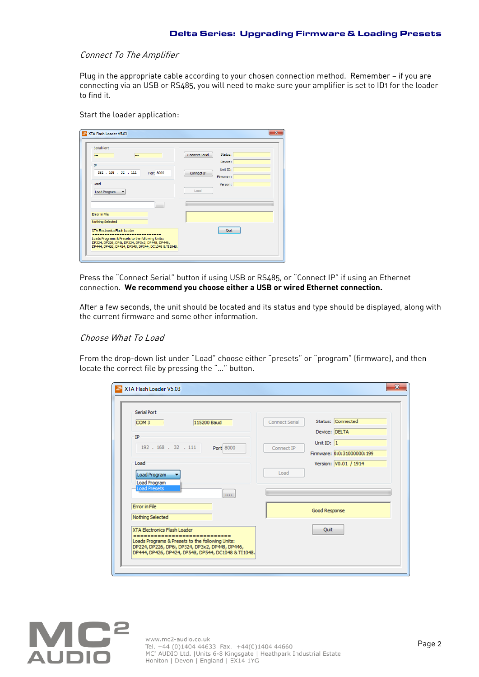#### Connect To The Amplifier

Plug in the appropriate cable according to your chosen connection method. Remember - if you are connecting via an USB or RS485, you will need to make sure your amplifier is set to ID1 for the loader to find it.

Start the loader application:

| <b>House</b><br>---                                                                 | Status:<br><b>Connect Serial</b> |
|-------------------------------------------------------------------------------------|----------------------------------|
|                                                                                     | Device:                          |
| IP                                                                                  | Unit ID:                         |
| 192 . 168 . 32 . 111<br>Port 8000                                                   | Connect IP<br>Firmware:          |
| Load                                                                                | Version:                         |
| Load Program<br>$\blacktriangledown$                                                | Load                             |
| $\cdots$                                                                            |                                  |
| Error in File                                                                       |                                  |
| Nothing Selected                                                                    |                                  |
| XTA Electronics Flash Loader                                                        | Quit                             |
| ==<br>-------------------------<br>Loads Programs & Presets to the following Units: |                                  |

Press the "Connect Serial" button if using USB or RS485, or "Connect IP" if using an Ethernet connection. **We recommend you choose either a USB or wired Ethernet connection.**

After a few seconds, the unit should be located and its status and type should be displayed, along with the current firmware and some other information.

# Choose What To Load

From the drop-down list under "Load" choose either "presets" or "program" (firmware), and then locate the correct file by pressing the "…" button.

| <b>Serial Port</b>                                                                                  |                                            |
|-----------------------------------------------------------------------------------------------------|--------------------------------------------|
| COM <sub>3</sub><br>115200 Baud                                                                     | Status: Connected<br><b>Connect Serial</b> |
| IP                                                                                                  | Device: DELTA                              |
| 192 . 168 . 32 . 111<br>Port 8000                                                                   | Unit ID: $1$<br>Connect IP                 |
|                                                                                                     | Firmware: 0:0:31000000:199                 |
| Load                                                                                                | Version: V0.01 / 1914                      |
| Load Program                                                                                        | Load                                       |
| Load Program                                                                                        |                                            |
| <b>Load Presets</b><br>1.111                                                                        |                                            |
| <b>Error</b> in File                                                                                | Good Response                              |
| Nothing Selected                                                                                    |                                            |
| <b>XTA Electronics Flash Loader</b>                                                                 | Quit                                       |
| Loads Programs & Presets to the following Units:<br>DP224, DP226, DP6i, DP324, DP3x2, DP448, DP446, |                                            |

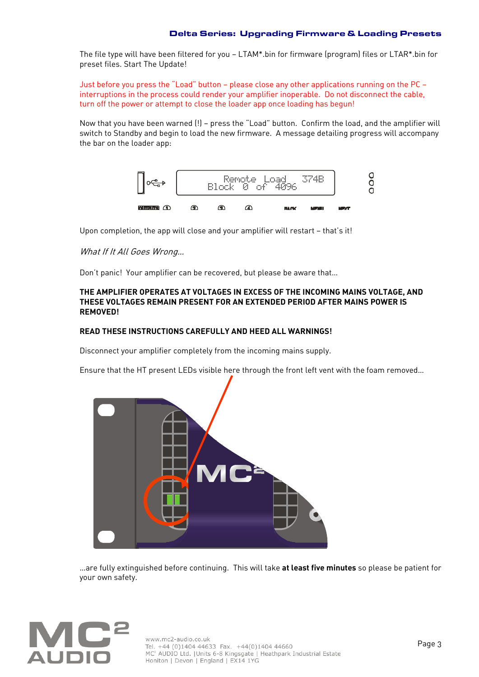The file type will have been filtered for you — LTAM\*.bin for firmware (program) files or LTAR\*.bin for preset files. Start The Update!

Just before you press the "Load" button — please close any other applications running on the PC interruptions in the process could render your amplifier inoperable. Do not disconnect the cable, turn off the power or attempt to close the loader app once loading has begun!

Now that you have been warned (!) — press the "Load" button. Confirm the load, and the amplifier will switch to Standby and begin to load the new firmware. A message detailing progress will accompany the bar on the loader app:



Upon completion, the app will close and your amplifier will restart — that's it!

# What If It All Goes Wrong…

Don't panic! Your amplifier can be recovered, but please be aware that…

### **THE AMPLIFIER OPERATES AT VOLTAGES IN EXCESS OF THE INCOMING MAINS VOLTAGE, AND THESE VOLTAGES REMAIN PRESENT FOR AN EXTENDED PERIOD AFTER MAINS POWER IS REMOVED!**

# **READ THESE INSTRUCTIONS CAREFULLY AND HEED ALL WARNINGS!**

Disconnect your amplifier completely from the incoming mains supply.

Ensure that the HT present LEDs visible here through the front left vent with the foam removed…



…are fully extinguished before continuing. This will take **at least five minutes** so please be patient for your own safety.



www.mc2-audio.co.uk<br>
Tel. +44 (0)1404 44633 Fax. +44(0)1404 44660<br>
MC<sup>2</sup> AUDIO Ltd. |Units 6-8 Kingsgate | Heathpark Industrial Estate Honiton | Devon | England | EX14 1YG